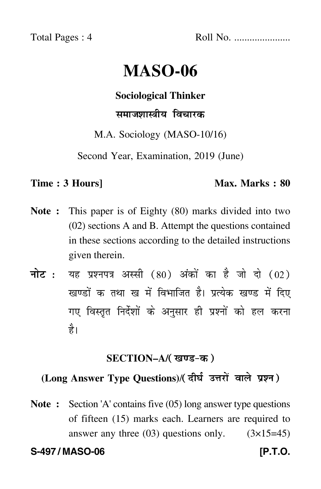Total Pages : 4 Roll No. ......................

# **MASO-06**

**Sociological Thinker**

# समाजशास्त्रीय विचारक

M.A. Sociology (MASO-10/16)

Second Year, Examination, 2019 (June)

### **Time : 3 Hours]** Max. Marks : 80

- **Note :** This paper is of Eighty (80) marks divided into two (02) sections A and B. Attempt the questions contained in these sections according to the detailed instructions given therein.
- नोट : यह प्रश्नपत्र अस्सी (80) अंकों का है जो दो (02) खण्डों क तथा ख में विभाजित है। प्रत्येक खण्ड में दिए गए विस्तृत निर्देशों के अनुसार ही प्रश्नों को हल करन<mark>ा</mark> है।

## **SECTION–A/**

# **(Long Answer Type Questions)**/

**Note :** Section 'A' contains five (05) long answer type questions of fifteen (15) marks each. Learners are required to answer any three  $(03)$  questions only.  $(3\times15=45)$ 

**S-497 / MASO-06 [P.T.O.**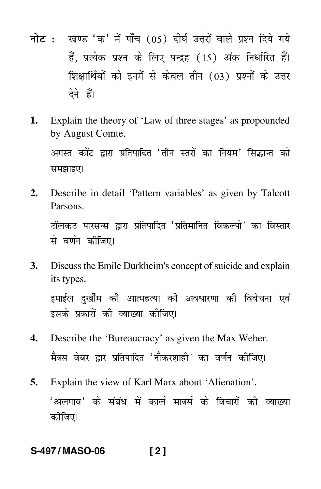- <mark>नोट</mark> : खण्ड 'क' में पाँच (05) दीर्घ उत्तरों वाले प्रश्न दिये गये हैं, प्रत्येक प्रश्न के लिए पन्द्रह (15) अंक निर्धारित हैं। शिक्षार्थियों को इनमें से केवल तीन (03) प्रश्नों के उत्तर देने हैं।
- **1.** Explain the theory of 'Law of three stages' as propounded by August Comte.

अगस्त कोंट द्वारा प्रतिपादित 'तीन स्तरों का नियम' सिद्धान्त को समझाइए।

**2.** Describe in detail 'Pattern variables' as given by Talcott Parsons.

टॉलकट पारसन्स द्वारा प्रतिपादित 'प्रतिमानित विकल्पो' का विस्तार से वर्णन कीजिए।

**3.** Discuss the Emile Durkheim's concept of suicide and explain its types. इमाईल दर्खीम की आत्महत्या की अवधारणा की विवेचना एवं

इसके प्रकारों की व्याख्या कीजिए।

- **4.** Describe the 'Bureaucracy' as given the Max Weber. मैक्स वेबर द्वार प्रतिपादित 'नौकरशाही' का वर्णन कीजिए।
- **5.** Explain the view of Karl Marx about 'Alienation'.

'अलगाव*'* के संबंध में कार्ल मार्क्स के विचारों की व्याख्या कीजिए।

# **S-497 / MASO-06 [ 2 ]**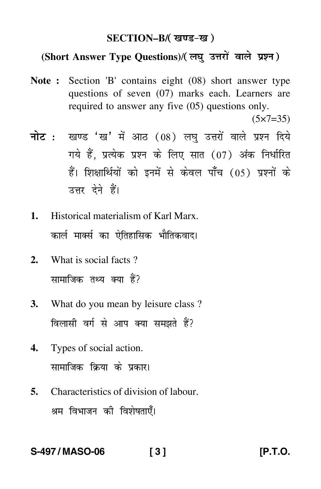#### **SECTION–B/**

# (Short Answer Type Questions)/( लघु उत्तरों वाले प्रश्न )

**Note :** Section 'B' contains eight (08) short answer type questions of seven (07) marks each. Learners are required to answer any five (05) questions only.

 $(5 \times 7 = 35)$ 

- <mark>नोट</mark> : खण्ड 'ख' में आठ (08) लघु उत्तरों वाले प्रश्न दिये गये हैं, प्रत्येक प्रश्न के लिए सात (07) अंक निर्धारित हैं। शिक्षार्थियों को इनमें से केवल पाँच (05) प्रश्नों के उत्तर देने हैं।
- **1.** Historical materialism of Karl Marx. कार्ल मार्क्स का ऐतिहासिक भौतिकवाद।
- **2.** What is social facts ? सामाजिक तथ्य क्या हैं?
- **3.** What do you mean by leisure class ? विलासी वर्ग से आप क्या समझते हैं?
- **4.** Types of social action. सामाजिक क्रिया के प्रकार।
- **5.** Characteristics of division of labour. श्रम विभाजन की विशेषताएँ।

### **S-497 / MASO-06 [ 3 ] [P.T.O.**